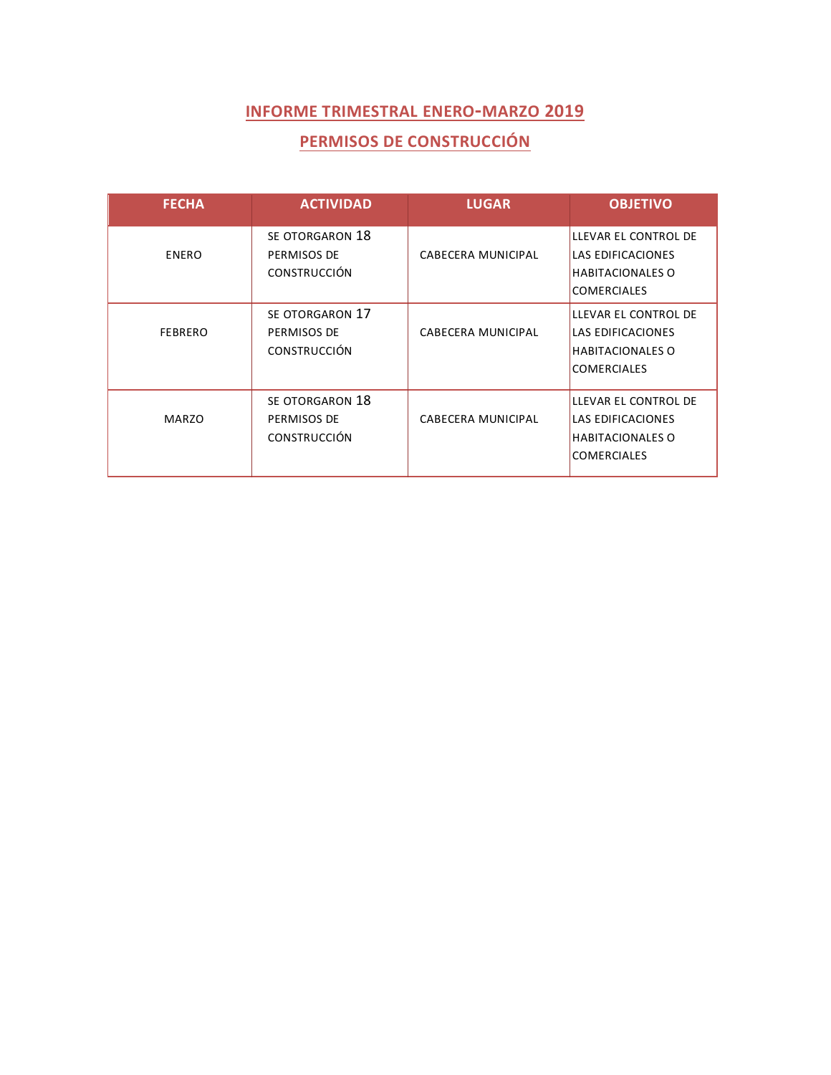## **PERMISOS DE CONSTRUCCIÓN**

| <b>FECHA</b>   | <b>ACTIVIDAD</b>                                      | <b>LUGAR</b>              | <b>OBJETIVO</b>                                                                                   |
|----------------|-------------------------------------------------------|---------------------------|---------------------------------------------------------------------------------------------------|
| <b>ENERO</b>   | SE OTORGARON 18<br>PERMISOS DE<br><b>CONSTRUCCIÓN</b> | CABECERA MUNICIPAL        | LLEVAR EL CONTROL DE<br>LAS EDIFICACIONES<br><b>HABITACIONALES O</b><br><b>COMERCIALES</b>        |
| <b>FEBRERO</b> | SE OTORGARON 17<br>PERMISOS DE<br><b>CONSTRUCCIÓN</b> | <b>CABECERA MUNICIPAL</b> | LLEVAR EL CONTROL DE<br><b>LAS EDIFICACIONES</b><br><b>HABITACIONALES O</b><br><b>COMERCIALES</b> |
| <b>MARZO</b>   | SE OTORGARON 18<br>PERMISOS DE<br><b>CONSTRUCCIÓN</b> | CABECERA MUNICIPAL        | LLEVAR EL CONTROL DE<br><b>LAS EDIFICACIONES</b><br><b>HABITACIONALES O</b><br><b>COMERCIALES</b> |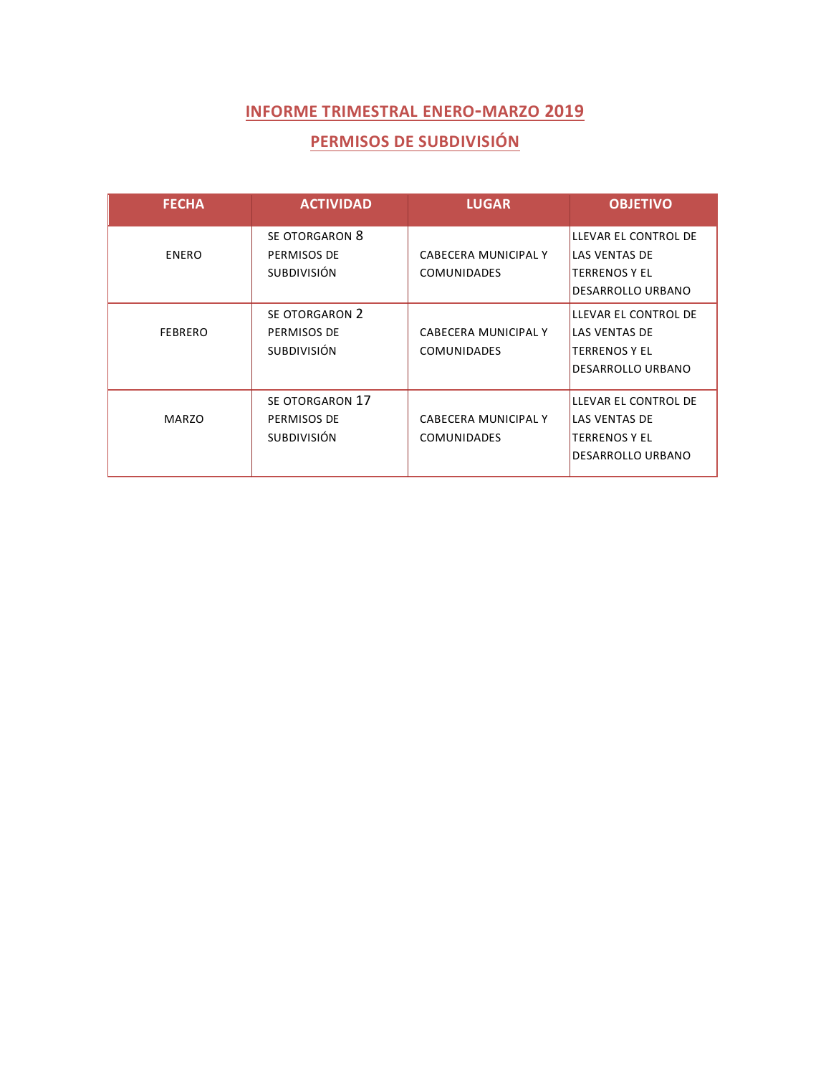## **PERMISOS DE SUBDIVISIÓN**

| <b>FECHA</b>   | <b>ACTIVIDAD</b>                                     | <b>LUGAR</b>                               | <b>OBJETIVO</b>                                                                                  |
|----------------|------------------------------------------------------|--------------------------------------------|--------------------------------------------------------------------------------------------------|
| <b>ENERO</b>   | SE OTORGARON 8<br>PERMISOS DE<br><b>SUBDIVISIÓN</b>  | CABECERA MUNICIPAL Y<br><b>COMUNIDADES</b> | LLEVAR EL CONTROL DE<br><b>LAS VENTAS DE</b><br><b>TERRENOS Y EL</b><br>DESARROLLO URBANO        |
| <b>FEBRERO</b> | SE OTORGARON 2<br>PERMISOS DE<br><b>SUBDIVISIÓN</b>  | CABECERA MUNICIPAL Y<br><b>COMUNIDADES</b> | LLEVAR EL CONTROL DE<br><b>LAS VENTAS DE</b><br><b>TERRENOS Y EL</b><br><b>DESARROLLO URBANO</b> |
| <b>MARZO</b>   | SE OTORGARON 17<br>PERMISOS DE<br><b>SUBDIVISIÓN</b> | CABECERA MUNICIPAL Y<br><b>COMUNIDADES</b> | LLEVAR EL CONTROL DE<br><b>LAS VENTAS DE</b><br><b>TERRENOS Y EL</b><br>DESARROLLO URBANO        |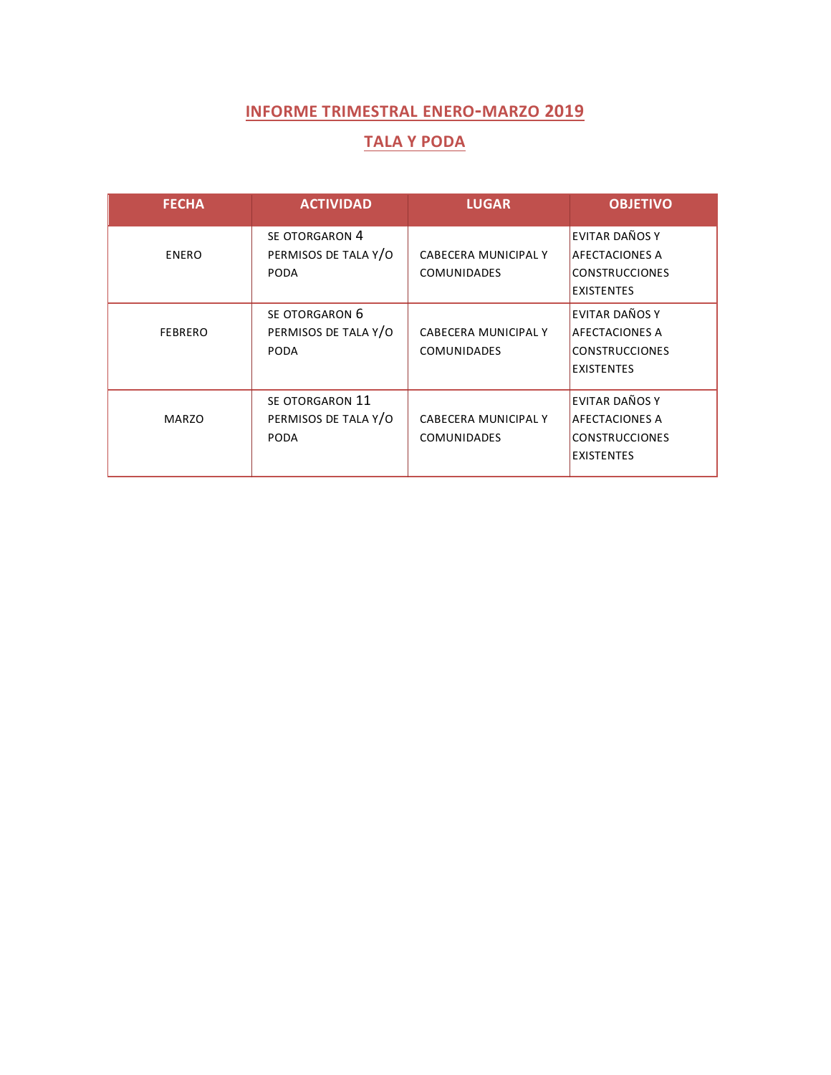#### **TALA Y PODA**

| <b>FECHA</b>   | <b>ACTIVIDAD</b>                                      | <b>LUGAR</b>                               | <b>OBJETIVO</b>                                                                       |
|----------------|-------------------------------------------------------|--------------------------------------------|---------------------------------------------------------------------------------------|
| <b>ENERO</b>   | SE OTORGARON 4<br>PERMISOS DE TALA Y/O<br><b>PODA</b> | CABECERA MUNICIPAL Y<br><b>COMUNIDADES</b> | EVITAR DAÑOS Y<br><b>AFECTACIONES A</b><br><b>CONSTRUCCIONES</b><br><b>EXISTENTES</b> |
| <b>FEBRERO</b> | SE OTORGARON 6<br>PERMISOS DE TALA Y/O<br><b>PODA</b> | CABECERA MUNICIPAL Y<br><b>COMUNIDADES</b> | EVITAR DAÑOS Y<br><b>AFECTACIONES A</b><br><b>CONSTRUCCIONES</b><br><b>EXISTENTES</b> |
| <b>MARZO</b>   | SE OTORGARON 11<br>PERMISOS DE TALA Y/O<br>PODA       | CABECERA MUNICIPAL Y<br><b>COMUNIDADES</b> | EVITAR DAÑOS Y<br><b>AFECTACIONES A</b><br><b>CONSTRUCCIONES</b><br><b>EXISTENTES</b> |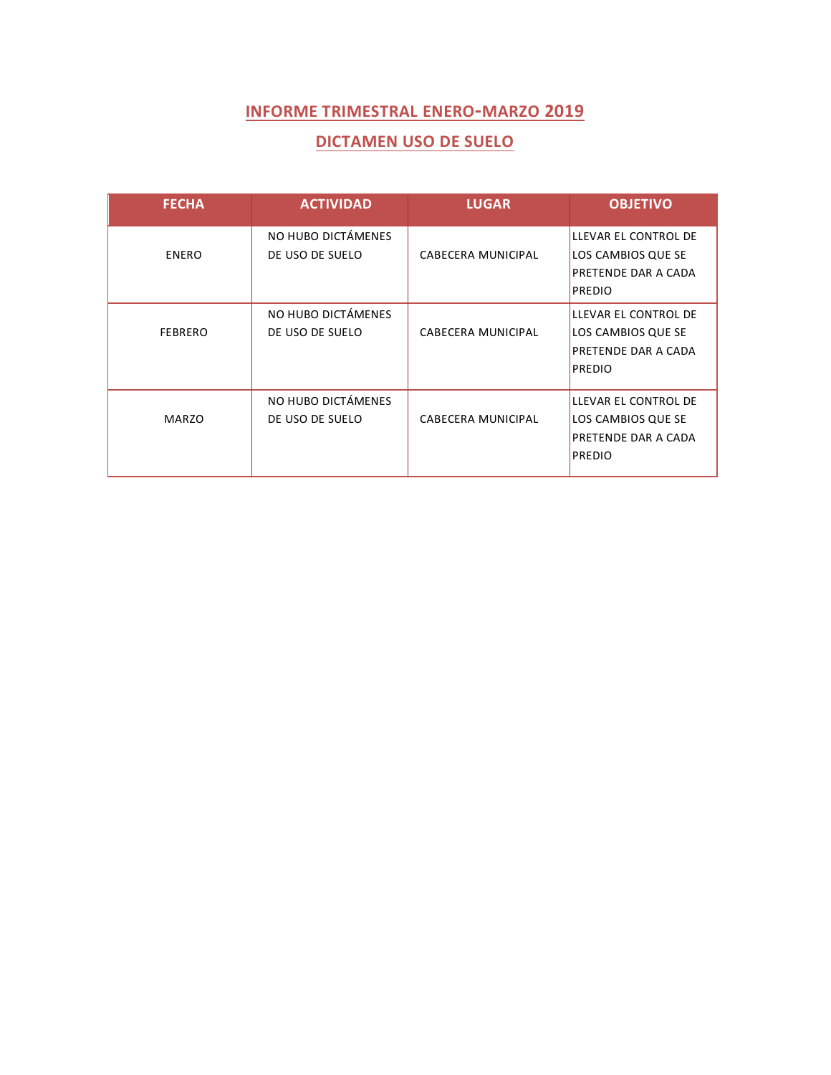#### **DICTAMEN USO DE SUELO**

| <b>FECHA</b>   | <b>ACTIVIDAD</b>                      | <b>LUGAR</b>              | <b>OBJETIVO</b>                                                                           |
|----------------|---------------------------------------|---------------------------|-------------------------------------------------------------------------------------------|
| <b>ENERO</b>   | NO HUBO DICTÁMENES<br>DE USO DE SUELO | CABECERA MUNICIPAL        | LLEVAR EL CONTROL DE<br>LOS CAMBIOS QUE SE<br><b>PRETENDE DAR A CADA</b>                  |
|                |                                       |                           | <b>PREDIO</b>                                                                             |
| <b>FEBRERO</b> | NO HUBO DICTÁMENES<br>DE USO DE SUELO | <b>CABECERA MUNICIPAL</b> | LLEVAR EL CONTROL DE<br>LOS CAMBIOS QUE SE<br><b>PRETENDE DAR A CADA</b><br><b>PREDIO</b> |
| <b>MARZO</b>   | NO HUBO DICTÁMENES<br>DE USO DE SUELO | CABECERA MUNICIPAL        | LLEVAR EL CONTROL DE<br>LOS CAMBIOS QUE SE<br>PRETENDE DAR A CADA<br><b>PREDIO</b>        |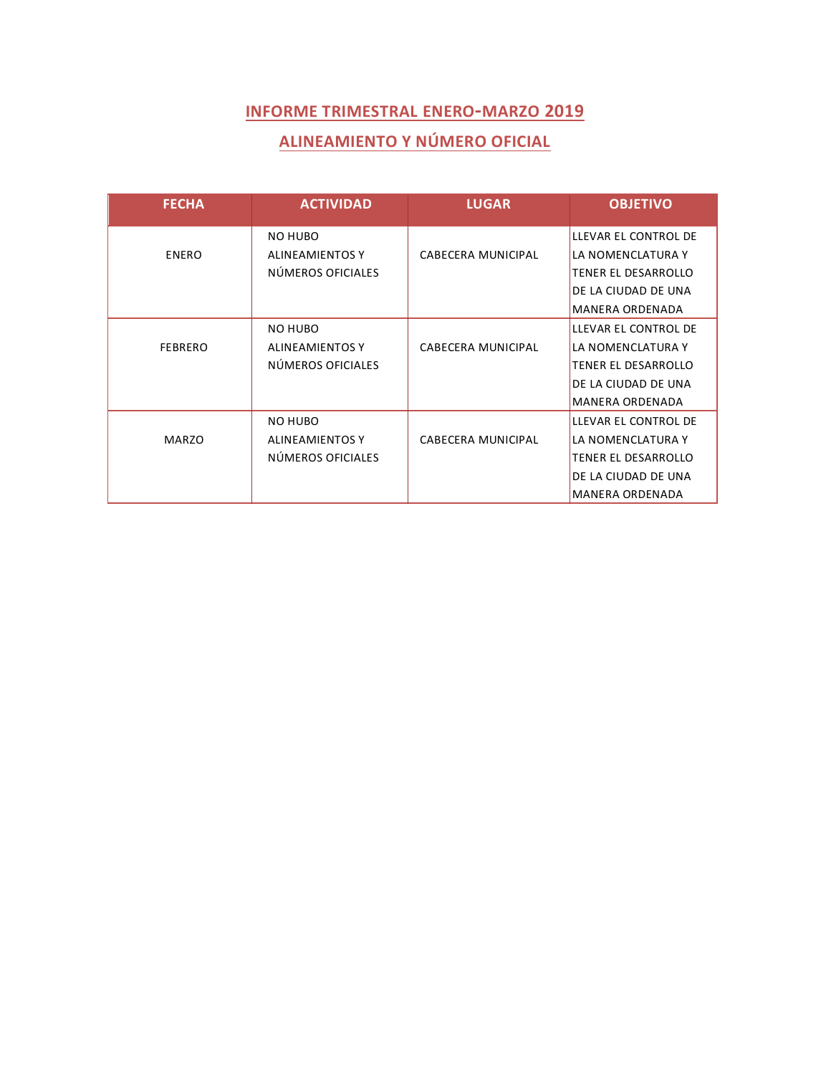# **ALINEAMIENTO Y NÚMERO OFICIAL**

| <b>FECHA</b>   | <b>ACTIVIDAD</b>       | <b>LUGAR</b>              | <b>OBJETIVO</b>        |
|----------------|------------------------|---------------------------|------------------------|
|                | <b>NO HUBO</b>         |                           | LLEVAR EL CONTROL DE   |
| <b>ENERO</b>   | <b>ALINEAMIENTOS Y</b> | CABECERA MUNICIPAL        | LA NOMENCLATURA Y      |
|                | NÚMEROS OFICIALES      |                           | TENER EL DESARROLLO    |
|                |                        |                           | DE LA CIUDAD DE UNA    |
|                |                        |                           | <b>MANERA ORDENADA</b> |
|                | <b>NO HUBO</b>         |                           | LLEVAR EL CONTROL DE   |
| <b>FEBRERO</b> | <b>ALINEAMIENTOS Y</b> | <b>CABECERA MUNICIPAL</b> | LA NOMENCLATURA Y      |
|                | NÚMEROS OFICIALES      |                           | TENER EL DESARROLLO    |
|                |                        |                           | DE LA CIUDAD DE UNA    |
|                |                        |                           | <b>MANERA ORDENADA</b> |
|                | NO HUBO                |                           | LLEVAR EL CONTROL DE   |
| <b>MARZO</b>   | ALINEAMIENTOS Y        | CABECERA MUNICIPAL        | LA NOMENCLATURA Y      |
|                | NÚMEROS OFICIALES      |                           | TENER EL DESARROLLO    |
|                |                        |                           | DE LA CIUDAD DE UNA    |
|                |                        |                           | <b>MANERA ORDENADA</b> |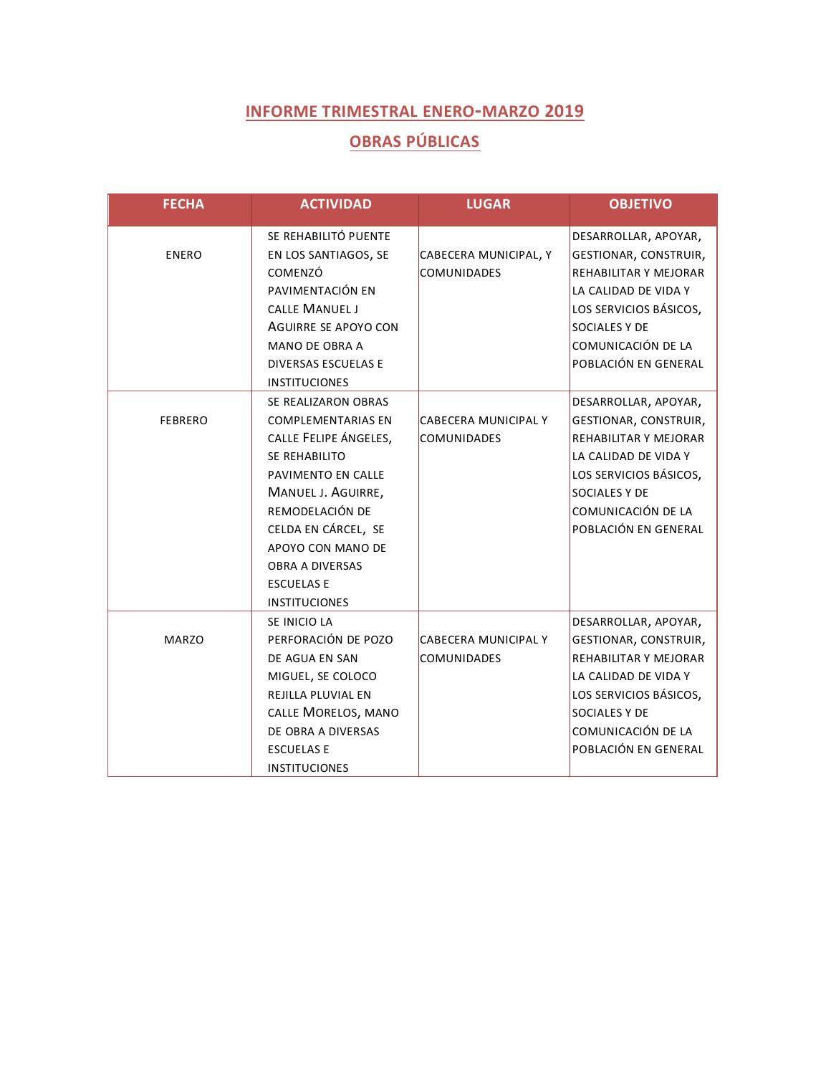# **OBRAS PÚBLICAS**

| <b>FECHA</b>   | <b>ACTIVIDAD</b>                                                                                                                                                                                                                                                             | <b>LUGAR</b>                                      | <b>OBJETIVO</b>                                                                                                                                                                                |
|----------------|------------------------------------------------------------------------------------------------------------------------------------------------------------------------------------------------------------------------------------------------------------------------------|---------------------------------------------------|------------------------------------------------------------------------------------------------------------------------------------------------------------------------------------------------|
| <b>ENERO</b>   | SE REHABILITÓ PUENTE<br>EN LOS SANTIAGOS, SE<br>COMENZÓ<br>PAVIMENTACIÓN EN<br>CALLE MANUEL J<br>AGUIRRE SE APOYO CON<br><b>MANO DE OBRA A</b><br><b>DIVERSAS ESCUELAS E</b><br><b>INSTITUCIONES</b>                                                                         | CABECERA MUNICIPAL, Y<br><b>COMUNIDADES</b>       | DESARROLLAR, APOYAR,<br>GESTIONAR, CONSTRUIR,<br>REHABILITAR Y MEJORAR<br>LA CALIDAD DE VIDA Y<br>LOS SERVICIOS BÁSICOS,<br><b>SOCIALES Y DE</b><br>COMUNICACIÓN DE LA<br>POBLACIÓN EN GENERAL |
| <b>FEBRERO</b> | SE REALIZARON OBRAS<br><b>COMPLEMENTARIAS EN</b><br>CALLE FELIPE ÁNGELES,<br>SE REHABILITO<br>PAVIMENTO EN CALLE<br>MANUEL J. AGUIRRE,<br>REMODELACIÓN DE<br>CELDA EN CÁRCEL, SE<br>APOYO CON MANO DE<br><b>OBRA A DIVERSAS</b><br><b>ESCUELAS E</b><br><b>INSTITUCIONES</b> | <b>CABECERA MUNICIPAL Y</b><br><b>COMUNIDADES</b> | DESARROLLAR, APOYAR,<br>GESTIONAR, CONSTRUIR,<br>REHABILITAR Y MEJORAR<br>LA CALIDAD DE VIDA Y<br>LOS SERVICIOS BÁSICOS,<br>SOCIALES Y DE<br>COMUNICACIÓN DE LA<br>POBLACIÓN EN GENERAL        |
| <b>MARZO</b>   | SE INICIO LA<br>PERFORACIÓN DE POZO<br>DE AGUA EN SAN<br>MIGUEL, SE COLOCO<br><b>REJILLA PLUVIAL EN</b><br>CALLE MORELOS, MANO<br>DE OBRA A DIVERSAS<br><b>ESCUELAS E</b><br><b>INSTITUCIONES</b>                                                                            | <b>CABECERA MUNICIPAL Y</b><br><b>COMUNIDADES</b> | DESARROLLAR, APOYAR,<br>GESTIONAR, CONSTRUIR,<br>REHABILITAR Y MEJORAR<br>LA CALIDAD DE VIDA Y<br>LOS SERVICIOS BÁSICOS,<br>SOCIALES Y DE<br>COMUNICACIÓN DE LA<br>POBLACIÓN EN GENERAL        |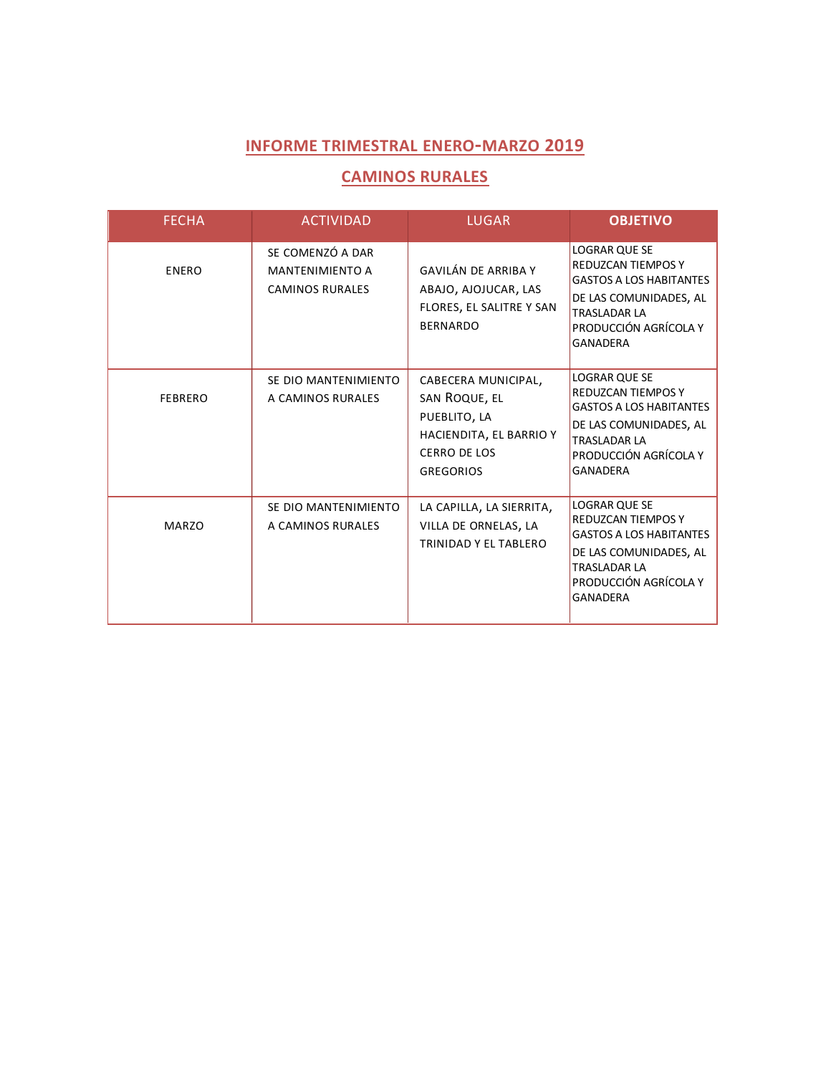#### **CAMINOS RURALES**

| <b>FECHA</b>   | <b>ACTIVIDAD</b>                                                     | <b>LUGAR</b>                                                                                                        | <b>OBJETIVO</b>                                                                                                                                                                  |
|----------------|----------------------------------------------------------------------|---------------------------------------------------------------------------------------------------------------------|----------------------------------------------------------------------------------------------------------------------------------------------------------------------------------|
| <b>ENERO</b>   | SE COMENZÓ A DAR<br><b>MANTENIMIENTO A</b><br><b>CAMINOS RURALES</b> | <b>GAVILÁN DE ARRIBA Y</b><br>ABAJO, AJOJUCAR, LAS<br>FLORES, EL SALITRE Y SAN<br><b>BERNARDO</b>                   | <b>LOGRAR QUE SE</b><br><b>REDUZCAN TIEMPOS Y</b><br><b>GASTOS A LOS HABITANTES</b><br>DE LAS COMUNIDADES, AL<br><b>TRASLADAR LA</b><br>PRODUCCIÓN AGRÍCOLA Y<br><b>GANADERA</b> |
| <b>FEBRERO</b> | SE DIO MANTENIMIENTO<br>A CAMINOS RURALES                            | CABECERA MUNICIPAL,<br>SAN ROQUE, EL<br>PUEBLITO, LA<br>HACIENDITA, EL BARRIO Y<br>CERRO DE LOS<br><b>GREGORIOS</b> | <b>LOGRAR QUE SE</b><br><b>REDUZCAN TIEMPOS Y</b><br><b>GASTOS A LOS HABITANTES</b><br>DE LAS COMUNIDADES, AL<br><b>TRASLADAR LA</b><br>PRODUCCIÓN AGRÍCOLA Y<br><b>GANADERA</b> |
| <b>MARZO</b>   | SE DIO MANTENIMIENTO<br>A CAMINOS RURALES                            | LA CAPILLA, LA SIERRITA,<br>VILLA DE ORNELAS, LA<br>TRINIDAD Y EL TABLERO                                           | <b>LOGRAR QUE SE</b><br><b>REDUZCAN TIEMPOS Y</b><br><b>GASTOS A LOS HABITANTES</b><br>DE LAS COMUNIDADES, AL<br><b>TRASLADAR LA</b><br>PRODUCCIÓN AGRÍCOLA Y<br><b>GANADERA</b> |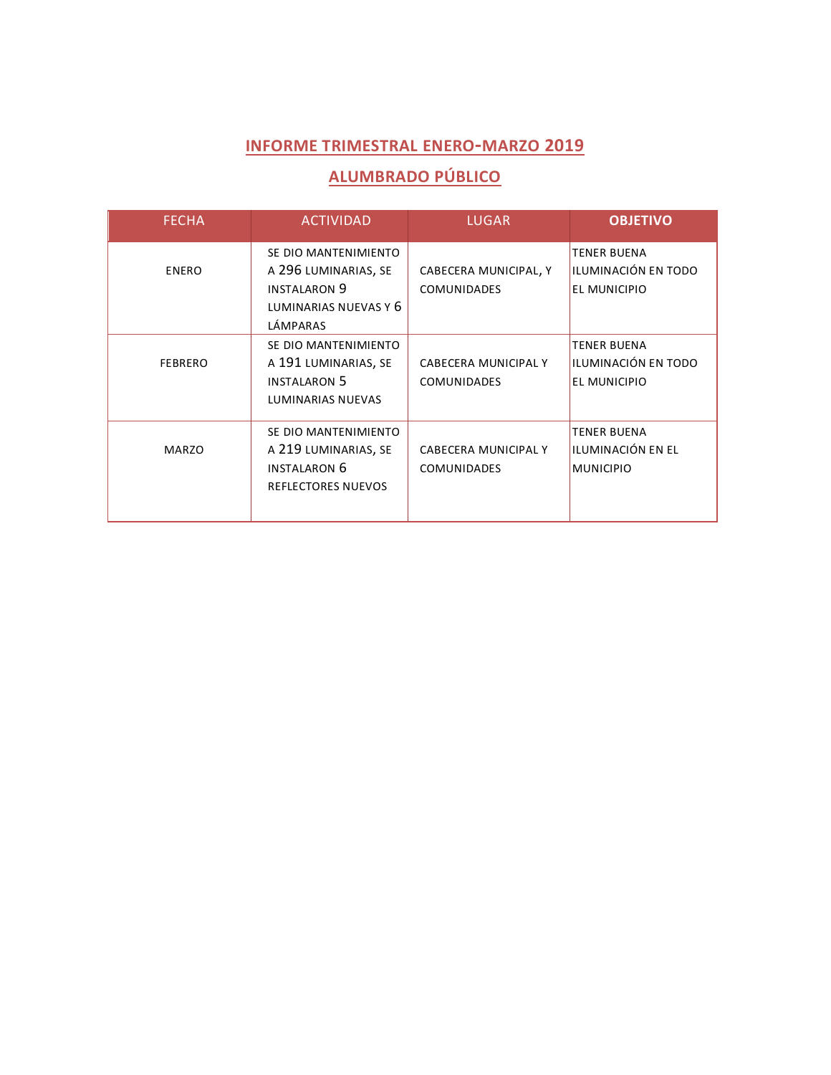# **ALUMBRADO PÚBLICO**

| <b>FECHA</b>   | <b>ACTIVIDAD</b>                                                                                         | <b>LUGAR</b>                                      | <b>OBJETIVO</b>                                             |
|----------------|----------------------------------------------------------------------------------------------------------|---------------------------------------------------|-------------------------------------------------------------|
| <b>ENERO</b>   | SE DIO MANTENIMIENTO<br>A 296 LUMINARIAS, SE<br><b>INSTALARON 9</b><br>LUMINARIAS NUEVAS Y 6<br>LÁMPARAS | CABECERA MUNICIPAL, Y<br><b>COMUNIDADES</b>       | <b>TENER BUENA</b><br>ILUMINACIÓN EN TODO<br>EL MUNICIPIO   |
| <b>FEBRERO</b> | SE DIO MANTENIMIENTO<br>A 191 LUMINARIAS, SE<br><b>INSTALARON 5</b><br><b>LUMINARIAS NUEVAS</b>          | <b>CABECERA MUNICIPAL Y</b><br><b>COMUNIDADES</b> | <b>TENER BUENA</b><br>ILUMINACIÓN EN TODO<br>EL MUNICIPIO   |
| MARZO          | SE DIO MANTENIMIENTO<br>A 219 LUMINARIAS, SE<br><b>INSTALARON 6</b><br><b>REFLECTORES NUEVOS</b>         | <b>CABECERA MUNICIPAL Y</b><br><b>COMUNIDADES</b> | <b>TENER BUENA</b><br>ILUMINACIÓN EN EL<br><b>MUNICIPIO</b> |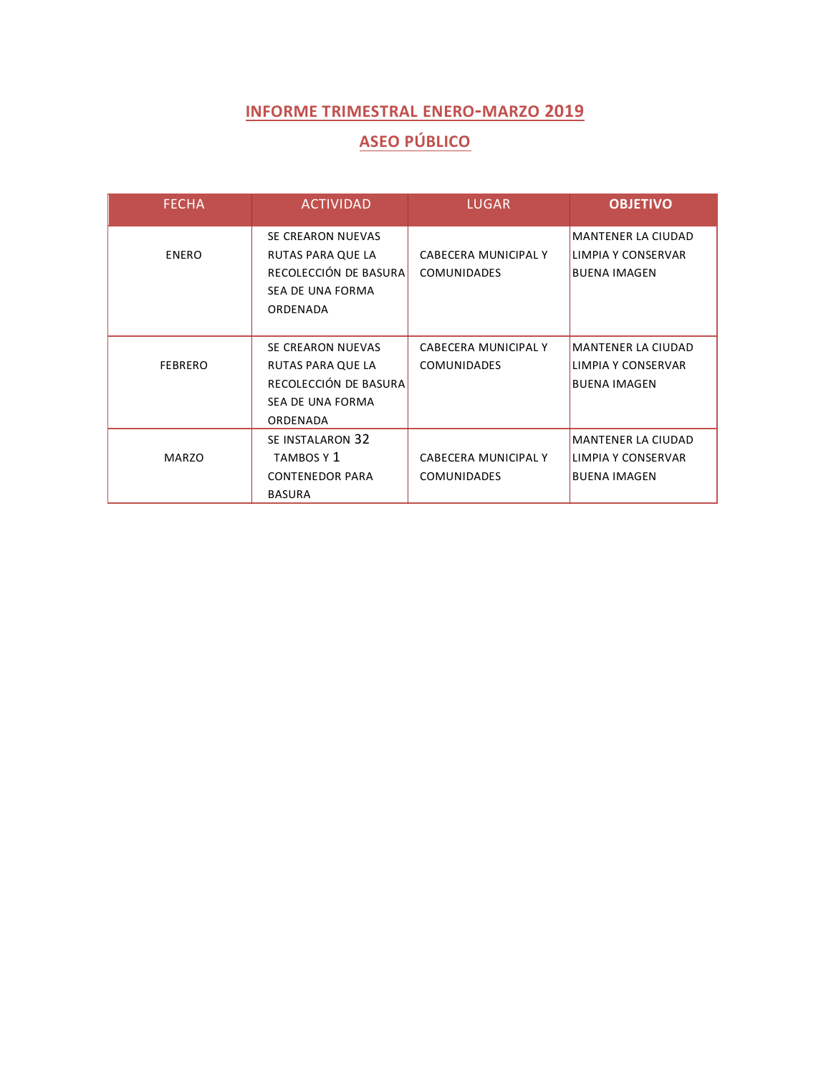# **ASEO PÚBLICO**

| <b>FECHA</b>   | <b>ACTIVIDAD</b>       | <b>LUGAR</b>         | <b>OBJETIVO</b>           |
|----------------|------------------------|----------------------|---------------------------|
|                | SE CREARON NUEVAS      |                      | <b>MANTENER LA CIUDAD</b> |
| <b>ENERO</b>   | RUTAS PARA QUE LA      | CABECERA MUNICIPAL Y | LIMPIA Y CONSERVAR        |
|                | RECOLECCIÓN DE BASURA  | <b>COMUNIDADES</b>   | <b>BUENA IMAGEN</b>       |
|                | SEA DE UNA FORMA       |                      |                           |
|                | ORDENADA               |                      |                           |
|                |                        |                      |                           |
|                | SE CREARON NUEVAS      | CABECERA MUNICIPAL Y | <b>MANTENER LA CIUDAD</b> |
| <b>FEBRERO</b> | RUTAS PARA QUE LA      | <b>COMUNIDADES</b>   | LIMPIA Y CONSERVAR        |
|                | RECOLECCIÓN DE BASURA  |                      | <b>BUENA IMAGEN</b>       |
|                | SEA DE UNA FORMA       |                      |                           |
|                | ORDENADA               |                      |                           |
|                | SE INSTALARON 32       |                      | <b>MANTENER LA CIUDAD</b> |
| <b>MARZO</b>   | TAMBOS Y 1             | CABECERA MUNICIPAL Y | LIMPIA Y CONSERVAR        |
|                | <b>CONTENEDOR PARA</b> | <b>COMUNIDADES</b>   | <b>BUENA IMAGEN</b>       |
|                | <b>BASURA</b>          |                      |                           |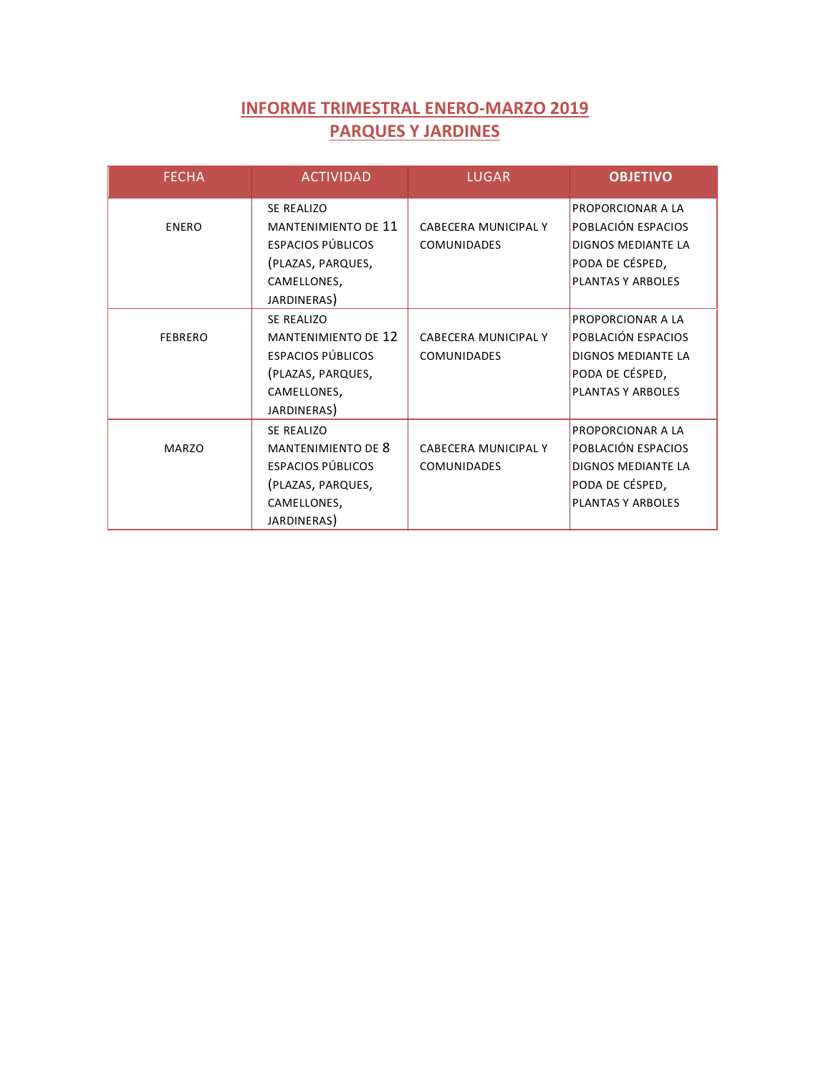## **INFORME TRIMESTRAL ENERO-MARZO 2019 PARQUES Y JARDINES**

| <b>FECHA</b>   | <b>ACTIVIDAD</b>                                                                                                        | <b>LUGAR</b>                                      | <b>OBJETIVO</b>                                                                                                            |
|----------------|-------------------------------------------------------------------------------------------------------------------------|---------------------------------------------------|----------------------------------------------------------------------------------------------------------------------------|
| <b>ENERO</b>   | SE REALIZO<br><b>MANTENIMIENTO DE 11</b><br>ESPACIOS PÚBLICOS<br>(PLAZAS, PARQUES,<br>CAMELLONES,<br>JARDINERAS)        | CABECERA MUNICIPAL Y<br><b>COMUNIDADES</b>        | <b>PROPORCIONAR A LA</b><br>POBLACIÓN ESPACIOS<br><b>DIGNOS MEDIANTE LA</b><br>PODA DE CÉSPED,<br><b>PLANTAS Y ARBOLES</b> |
| <b>FEBRERO</b> | SE REALIZO<br><b>MANTENIMIENTO DE 12</b><br><b>ESPACIOS PÚBLICOS</b><br>(PLAZAS, PARQUES,<br>CAMELLONES,<br>JARDINERAS) | <b>CABECERA MUNICIPAL Y</b><br><b>COMUNIDADES</b> | PROPORCIONAR A LA<br>POBLACIÓN ESPACIOS<br>DIGNOS MEDIANTE LA<br>PODA DE CÉSPED,<br><b>PLANTAS Y ARBOLES</b>               |
| MAR70          | <b>SE REALIZO</b><br>MANTENIMIENTO DE 8<br><b>ESPACIOS PÚBLICOS</b><br>(PLAZAS, PARQUES,<br>CAMELLONES,<br>JARDINERAS)  | CABECERA MUNICIPAL Y<br><b>COMUNIDADES</b>        | PROPORCIONAR A LA<br>POBLACIÓN ESPACIOS<br><b>DIGNOS MEDIANTE LA</b><br>PODA DE CÉSPED,<br>PLANTAS Y ARBOLES               |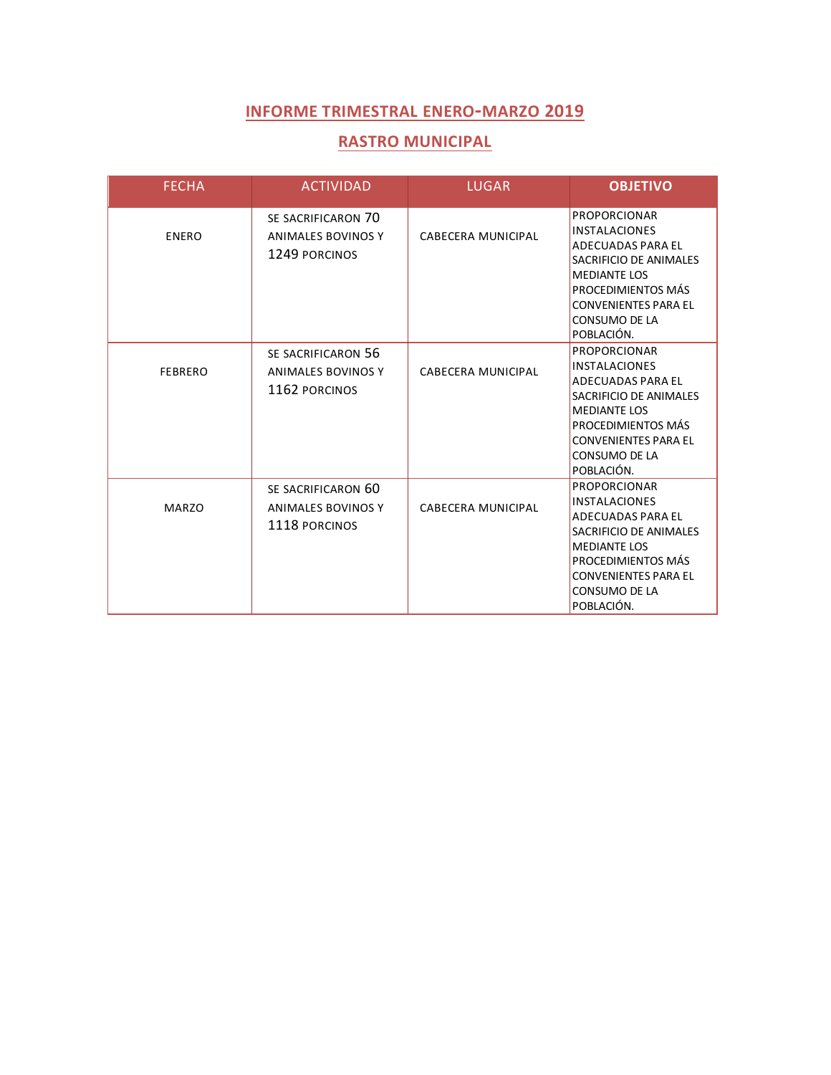#### **RASTRO MUNICIPAL**

| <b>FECHA</b>   | <b>ACTIVIDAD</b>                                          | <b>LUGAR</b>              | <b>OBJETIVO</b>                                                                                                                                                                                                     |
|----------------|-----------------------------------------------------------|---------------------------|---------------------------------------------------------------------------------------------------------------------------------------------------------------------------------------------------------------------|
| <b>ENERO</b>   | SE SACRIFICARON 70<br>ANIMALES BOVINOS Y<br>1249 PORCINOS | CABECERA MUNICIPAL        | <b>PROPORCIONAR</b><br><b>INSTALACIONES</b><br>ADECUADAS PARA EL<br>SACRIFICIO DE ANIMALES<br><b>MEDIANTE LOS</b><br>PROCEDIMIENTOS MÁS<br><b>CONVENIENTES PARA EL</b><br>CONSUMO DE LA<br>POBLACIÓN.               |
| <b>FEBRERO</b> | SE SACRIFICARON 56<br>ANIMALES BOVINOS Y<br>1162 PORCINOS | <b>CABECERA MUNICIPAL</b> | <b>PROPORCIONAR</b><br><b>INSTALACIONES</b><br><b>ADECUADAS PARA EL</b><br>SACRIFICIO DE ANIMALES<br><b>MEDIANTE LOS</b><br>PROCEDIMIENTOS MÁS<br><b>CONVENIENTES PARA EL</b><br>CONSUMO DE LA<br>POBLACIÓN.        |
| <b>MARZO</b>   | SE SACRIFICARON 60<br>ANIMALES BOVINOS Y<br>1118 PORCINOS | CABECERA MUNICIPAL        | <b>PROPORCIONAR</b><br><b>INSTALACIONES</b><br><b>ADECUADAS PARA EL</b><br>SACRIFICIO DE ANIMALES<br><b>MEDIANTE LOS</b><br>PROCEDIMIENTOS MÁS<br><b>CONVENIENTES PARA EL</b><br><b>CONSUMO DE LA</b><br>POBLACIÓN. |